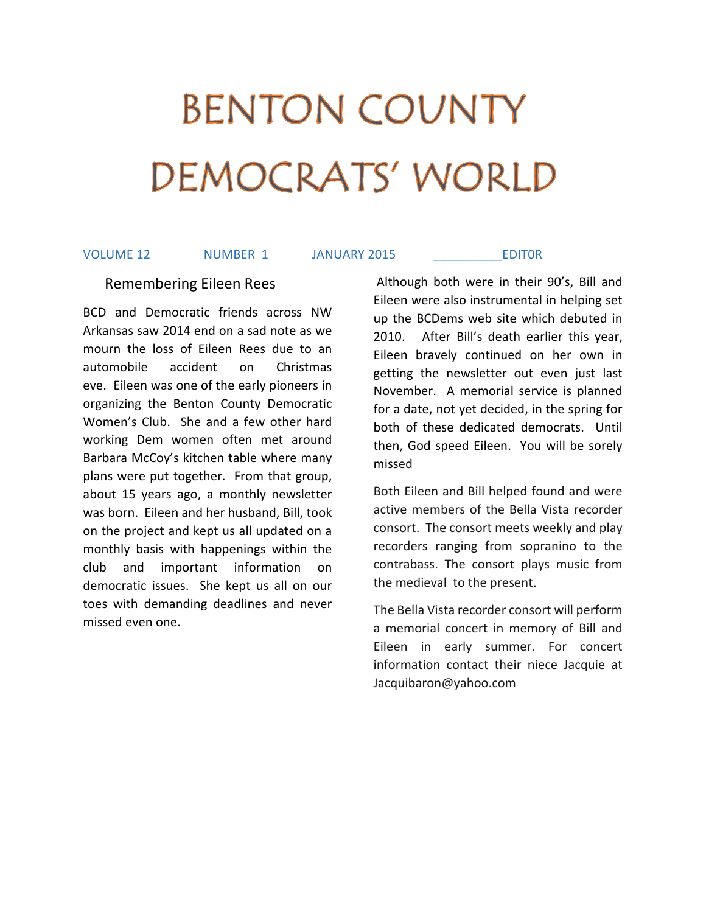# BENTON COUNTY DEMOCRATS' WORLD

VOLUME 12 NUMBER 1 JANUARY 2015 \_\_\_\_\_\_\_\_\_\_EDIT0R

### Remembering Eileen Rees

BCD and Democratic friends across NW Arkansas saw 2014 end on a sad note as we mourn the loss of Eileen Rees due to an automobile accident on Christmas eve. Eileen was one of the early pioneers in organizing the Benton County Democratic Women's Club. She and a few other hard working Dem women often met around Barbara McCoy's kitchen table where many plans were put together. From that group, about 15 years ago, a monthly newsletter was born. Eileen and her husband, Bill, took on the project and kept us all updated on a monthly basis with happenings within the club and important information on democratic issues. She kept us all on our toes with demanding deadlines and never missed even one.

 Although both were in their 90's, Bill and Eileen were also instrumental in helping set up the BCDems web site which debuted in 2010. After Bill's death earlier this year, Eileen bravely continued on her own in getting the newsletter out even just last November. A memorial service is planned for a date, not yet decided, in the spring for both of these dedicated democrats. Until then, God speed Eileen. You will be sorely missed

Both Eileen and Bill helped found and were active members of the Bella Vista recorder consort. The consort meets weekly and play recorders ranging from sopranino to the contrabass. The consort plays music from the medieval to the present.

The Bella Vista recorder consort will perform a memorial concert in memory of Bill and Eileen in early summer. For concert information contact their niece Jacquie at Jacquibaron@yahoo.com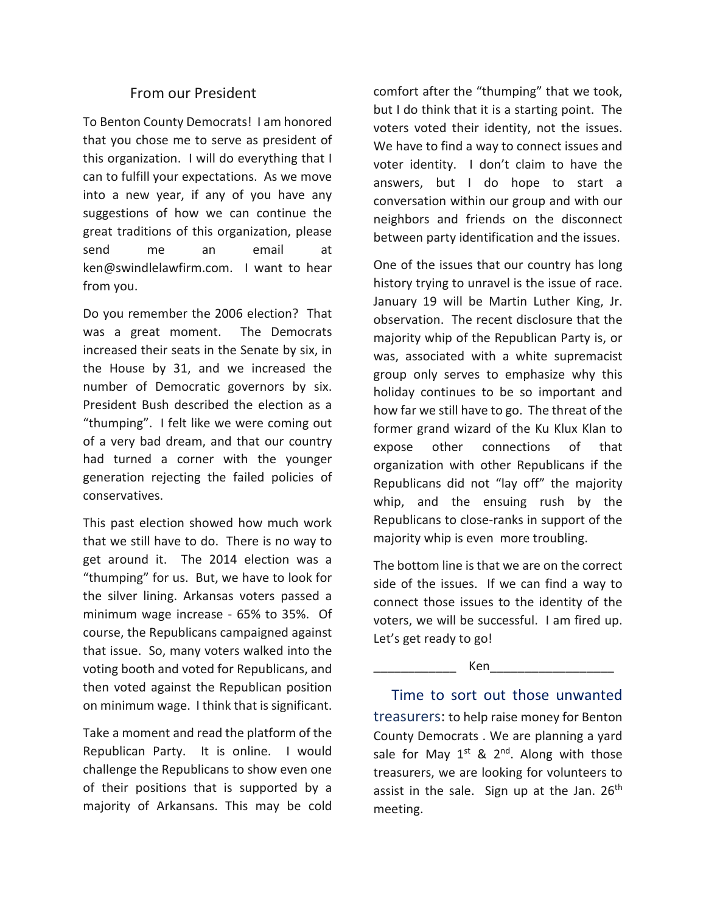# From our President

To Benton County Democrats! I am honored that you chose me to serve as president of this organization. I will do everything that I can to fulfill your expectations. As we move into a new year, if any of you have any suggestions of how we can continue the great traditions of this organization, please send me an email at ken@swindlelawfirm.com. I want to hear from you.

Do you remember the 2006 election? That was a great moment. The Democrats increased their seats in the Senate by six, in the House by 31, and we increased the number of Democratic governors by six. President Bush described the election as a "thumping". I felt like we were coming out of a very bad dream, and that our country had turned a corner with the younger generation rejecting the failed policies of conservatives.

This past election showed how much work that we still have to do. There is no way to get around it. The 2014 election was a "thumping" for us. But, we have to look for the silver lining. Arkansas voters passed a minimum wage increase - 65% to 35%. Of course, the Republicans campaigned against that issue. So, many voters walked into the voting booth and voted for Republicans, and then voted against the Republican position on minimum wage. I think that is significant.

Take a moment and read the platform of the Republican Party. It is online. I would challenge the Republicans to show even one of their positions that is supported by a majority of Arkansans. This may be cold

comfort after the "thumping" that we took, but I do think that it is a starting point. The voters voted their identity, not the issues. We have to find a way to connect issues and voter identity. I don't claim to have the answers, but I do hope to start a conversation within our group and with our neighbors and friends on the disconnect between party identification and the issues.

One of the issues that our country has long history trying to unravel is the issue of race. January 19 will be Martin Luther King, Jr. observation. The recent disclosure that the majority whip of the Republican Party is, or was, associated with a white supremacist group only serves to emphasize why this holiday continues to be so important and how far we still have to go. The threat of the former grand wizard of the Ku Klux Klan to expose other connections of that organization with other Republicans if the Republicans did not "lay off" the majority whip, and the ensuing rush by the Republicans to close-ranks in support of the majority whip is even more troubling.

The bottom line is that we are on the correct side of the issues. If we can find a way to connect those issues to the identity of the voters, we will be successful. I am fired up. Let's get ready to go!

Ken

 Time to sort out those unwanted treasurers: to help raise money for Benton County Democrats . We are planning a yard sale for May  $1^{st}$  &  $2^{nd}$ . Along with those treasurers, we are looking for volunteers to assist in the sale. Sign up at the Jan.  $26<sup>th</sup>$ meeting.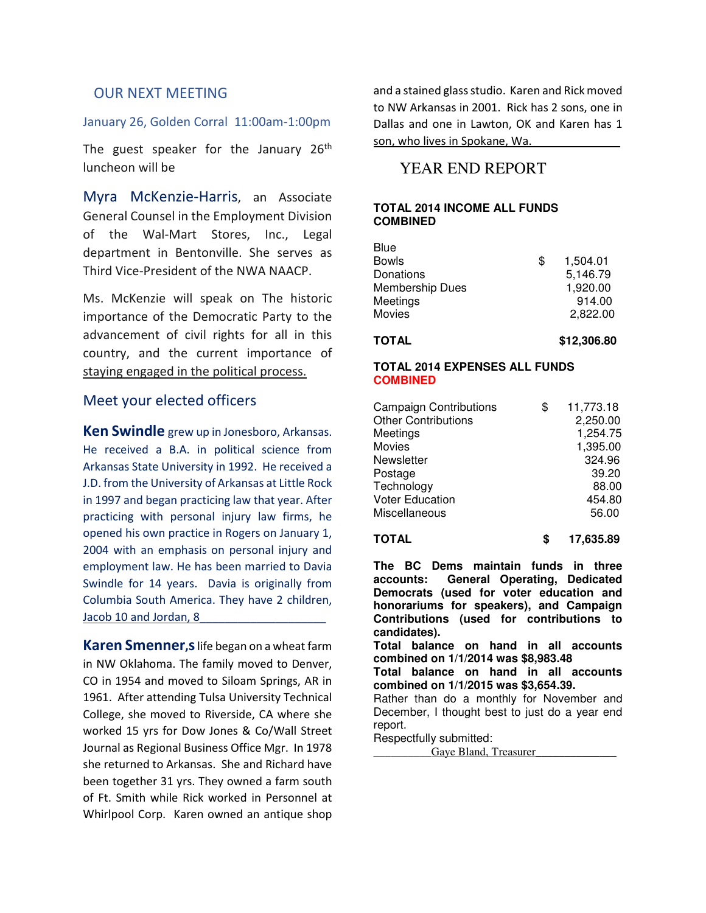## OUR NEXT MEETING

#### January 26, Golden Corral 11:00am-1:00pm

The guest speaker for the January 26<sup>th</sup> luncheon will be

Myra McKenzie-Harris, an Associate General Counsel in the Employment Division of the Wal-Mart Stores, Inc., Legal department in Bentonville. She serves as Third Vice-President of the NWA NAACP.

Ms. McKenzie will speak on The historic importance of the Democratic Party to the advancement of civil rights for all in this country, and the current importance of staying engaged in the political process.

## Meet your elected officers

Ken Swindle grew up in Jonesboro, Arkansas. He received a B.A. in political science from Arkansas State University in 1992. He received a J.D. from the University of Arkansas at Little Rock in 1997 and began practicing law that year. After practicing with personal injury law firms, he opened his own practice in Rogers on January 1, 2004 with an emphasis on personal injury and employment law. He has been married to Davia Swindle for 14 years. Davia is originally from Columbia South America. They have 2 children, Jacob 10 and Jordan, 8

Karen Smenner, slife began on a wheat farm in NW Oklahoma. The family moved to Denver, CO in 1954 and moved to Siloam Springs, AR in 1961. After attending Tulsa University Technical College, she moved to Riverside, CA where she worked 15 yrs for Dow Jones & Co/Wall Street Journal as Regional Business Office Mgr. In 1978 she returned to Arkansas. She and Richard have been together 31 yrs. They owned a farm south of Ft. Smith while Rick worked in Personnel at Whirlpool Corp. Karen owned an antique shop

and a stained glass studio. Karen and Rick moved to NW Arkansas in 2001. Rick has 2 sons, one in Dallas and one in Lawton, OK and Karen has 1 son, who lives in Spokane, Wa.

# YEAR END REPORT

#### **TOTAL 2014 INCOME ALL FUNDS COMBINED**

| <b>TOTAL</b>    | \$12,306.80    |
|-----------------|----------------|
| Movies          | 2,822.00       |
| Meetings        | 914.00         |
| Membership Dues | 1,920.00       |
| Donations       | 5,146.79       |
| <b>Bowls</b>    | \$<br>1,504.01 |
| Blue            |                |

#### **TOTAL 2014 EXPENSES ALL FUNDS COMBINED**

| <b>Campaign Contributions</b><br><b>Other Contributions</b><br>Meetings<br>Movies<br>Newsletter<br>Postage<br>Technology<br><b>Voter Education</b> | \$<br>11,773.18<br>2,250.00<br>1,254.75<br>1,395.00<br>324.96<br>39.20<br>88.00<br>454.80 |
|----------------------------------------------------------------------------------------------------------------------------------------------------|-------------------------------------------------------------------------------------------|
|                                                                                                                                                    |                                                                                           |
| Miscellaneous                                                                                                                                      | 56.00                                                                                     |

**TOTAL \$ 17,635.89**

**The BC Dems maintain funds in three accounts: General Operating, Dedicated Democrats (used for voter education and honorariums for speakers), and Campaign Contributions (used for contributions to candidates).**

**Total balance on hand in all accounts combined on 1/1/2014 was \$8,983.48**

**Total balance on hand in all accounts combined on 1/1/2015 was \$3,654.39.**

Rather than do a monthly for November and December, I thought best to just do a year end report.

Respectfully submitted:

Gaye Bland, Treasurer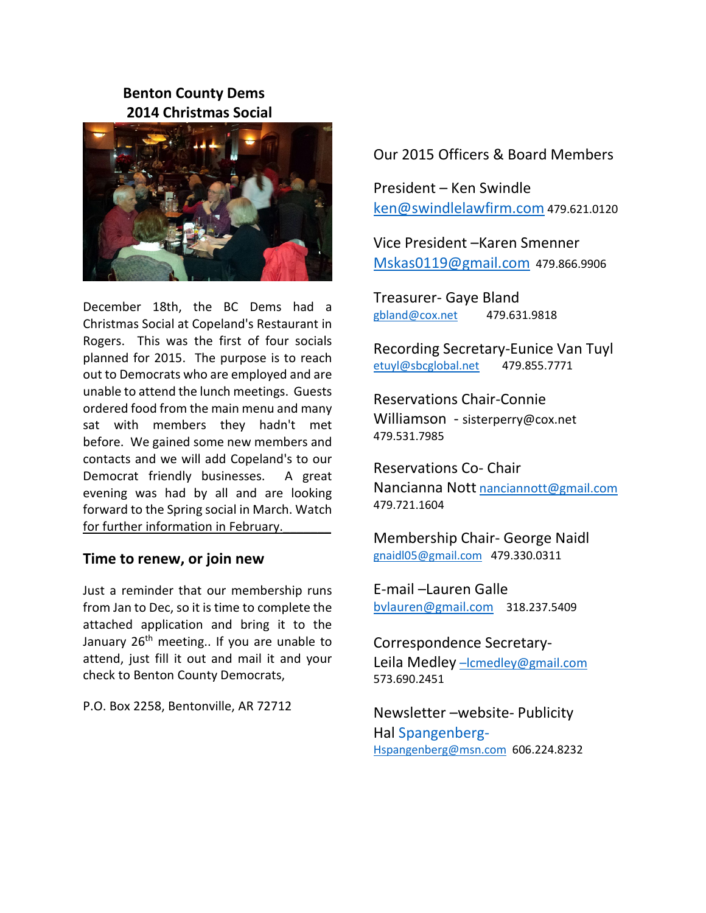# Benton County Dems 2014 Christmas Social



December 18th, the BC Dems had a Christmas Social at Copeland's Restaurant in Rogers. This was the first of four socials planned for 2015. The purpose is to reach out to Democrats who are employed and are unable to attend the lunch meetings. Guests ordered food from the main menu and many sat with members they hadn't met before. We gained some new members and contacts and we will add Copeland's to our Democrat friendly businesses. A great evening was had by all and are looking forward to the Spring social in March. Watch for further information in February.

## Time to renew, or join new

Just a reminder that our membership runs from Jan to Dec, so it is time to complete the attached application and bring it to the January 26<sup>th</sup> meeting.. If you are unable to attend, just fill it out and mail it and your check to Benton County Democrats,

P.O. Box 2258, Bentonville, AR 72712

# Our 2015 Officers & Board Members

President – Ken Swindle ken@swindlelawfirm.com 479.621.0120

Vice President –Karen Smenner Mskas0119@gmail.com 479.866.9906

Treasurer- Gaye Bland gbland@cox.net 479.631.9818

Recording Secretary-Eunice Van Tuyl etuyl@sbcglobal.net 479.855.7771

Reservations Chair-Connie Williamson - sisterperry@cox.net 479.531.7985

Reservations Co- Chair Nancianna Nott nanciannott@gmail.com 479.721.1604

Membership Chair- George Naidl gnaidl05@gmail.com 479.330.0311

E-mail –Lauren Galle bvlauren@gmail.com 318.237.5409

Correspondence Secretary-Leila Medley - Icmedley@gmail.com 573.690.2451

Newsletter –website- Publicity Hal Spangenberg-Hspangenberg@msn.com 606.224.8232